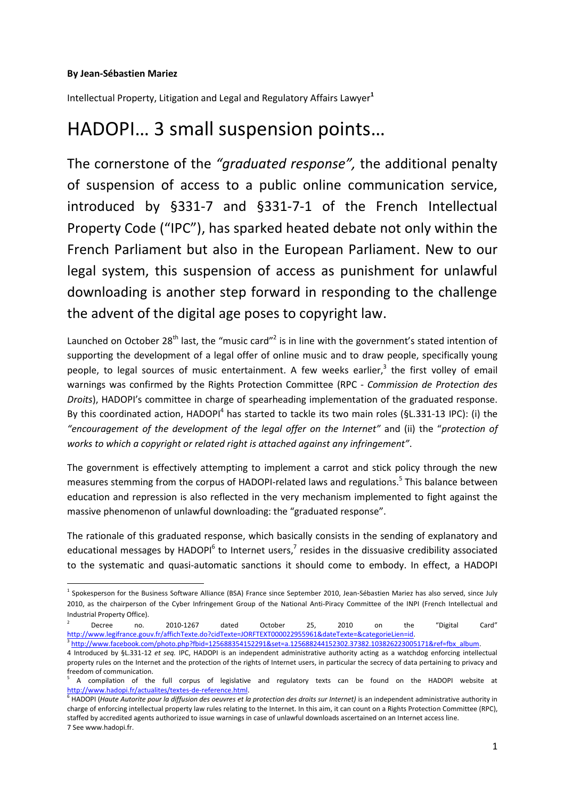## **By Jean-Sébastien Mariez**

**.** 

Intellectual Property, Litigation and Legal and Regulatory Affairs Lawyer**<sup>1</sup>**

# HADOPI… 3 small suspension points…

The cornerstone of the *"graduated response",* the additional penalty of suspension of access to a public online communication service, introduced by §331-7 and §331-7-1 of the French Intellectual Property Code ("IPC"), has sparked heated debate not only within the French Parliament but also in the European Parliament. New to our legal system, this suspension of access as punishment for unlawful downloading is another step forward in responding to the challenge the advent of the digital age poses to copyright law.

Launched on October 28<sup>th</sup> last, the "music card"<sup>2</sup> is in line with the government's stated intention of supporting the development of a legal offer of online music and to draw people, specifically young people, to legal sources of music entertainment. A few weeks earlier,<sup>3</sup> the first volley of email warnings was confirmed by the Rights Protection Committee (RPC - *Commission de Protection des Droits*), HADOPI's committee in charge of spearheading implementation of the graduated response. By this coordinated action, HADOPI<sup>4</sup> has started to tackle its two main roles (§L.331-13 IPC): (i) the *"encouragement of the development of the legal offer on the Internet"* and (ii) the "*protection of works to which a copyright or related right is attached against any infringement"*.

The government is effectively attempting to implement a carrot and stick policy through the new measures stemming from the corpus of HADOPI-related laws and regulations. 5 This balance between education and repression is also reflected in the very mechanism implemented to fight against the massive phenomenon of unlawful downloading: the "graduated response".

The rationale of this graduated response, which basically consists in the sending of explanatory and educational messages by HADOPI<sup>6</sup> to Internet users,<sup>7</sup> resides in the dissuasive credibility associated to the systematic and quasi-automatic sanctions it should come to embody. In effect, a HADOPI

2 Decree no. 2010-1267 dated October 25, 2010 on the "Digital Card" [http://www.legifrance.gouv.fr/affichTexte.do?cidTexte=JORFTEXT000022955961&dateTexte=&categorieLien=id.](http://www.legifrance.gouv.fr/affichTexte.do?cidTexte=JORFTEXT000022955961&dateTexte=&categorieLien=id)

3 [http://www.facebook.com/photo.php?fbid=125688354152291&set=a.125688244152302.37382.103826223005171&ref=fbx\\_album.](http://www.facebook.com/photo.php?fbid=125688354152291&set=a.125688244152302.37382.103826223005171&ref=fbx_album)

<sup>&</sup>lt;sup>1</sup> Spokesperson for the Business Software Alliance (BSA) France since September 2010, Jean-Sébastien Mariez has also served, since July 2010, as the chairperson of the Cyber Infringement Group of the National Anti-Piracy Committee of the INPI (French Intellectual and Industrial Property Office).

<sup>4</sup> Introduced by §L.331-12 *et seq.* IPC, HADOPI is an independent administrative authority acting as a watchdog enforcing intellectual property rules on the Internet and the protection of the rights of Internet users, in particular the secrecy of data pertaining to privacy and freedom of communication.

<sup>5</sup> A compilation of the full corpus of legislative and regulatory texts can be found on the HADOPI website at [http://www.hadopi.fr/actualites/textes-de-reference.html.](http://www.hadopi.fr/actualites/textes-de-reference.html)

<sup>&</sup>lt;sup>6</sup> HADOPI (Haute Autorite pour la diffusion des oeuvres et la protection des droits sur Internet) is an independent administrative authority in charge of enforcing intellectual property law rules relating to the Internet. In this aim, it can count on a Rights Protection Committee (RPC), staffed by accredited agents authorized to issue warnings in case of unlawful downloads ascertained on an Internet access line. 7 See www.hadopi.fr.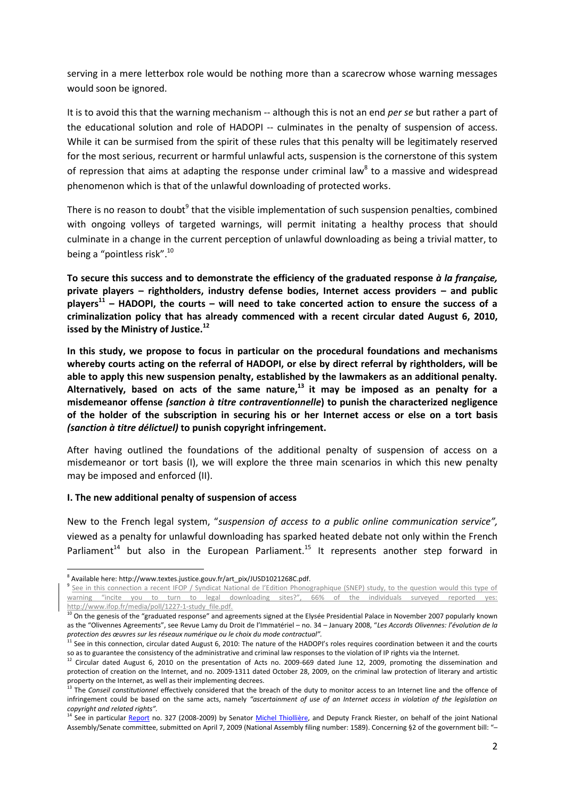serving in a mere letterbox role would be nothing more than a scarecrow whose warning messages would soon be ignored.

It is to avoid this that the warning mechanism -- although this is not an end *per se* but rather a part of the educational solution and role of HADOPI -- culminates in the penalty of suspension of access. While it can be surmised from the spirit of these rules that this penalty will be legitimately reserved for the most serious, recurrent or harmful unlawful acts, suspension is the cornerstone of this system of repression that aims at adapting the response under criminal law<sup>8</sup> to a massive and widespread phenomenon which is that of the unlawful downloading of protected works.

There is no reason to doubt<sup>9</sup> that the visible implementation of such suspension penalties, combined with ongoing volleys of targeted warnings, will permit initating a healthy process that should culminate in a change in the current perception of unlawful downloading as being a trivial matter, to being a "pointless risk".<sup>10</sup>

**To secure this success and to demonstrate the efficiency of the graduated response** *à la française,* **private players – rightholders, industry defense bodies, Internet access providers – and public players<sup>11</sup> – HADOPI, the courts – will need to take concerted action to ensure the success of a criminalization policy that has already commenced with a recent circular dated August 6, 2010, issed by the Ministry of Justice.<sup>12</sup>**

**In this study, we propose to focus in particular on the procedural foundations and mechanisms whereby courts acting on the referral of HADOPI, or else by direct referral by rightholders, will be able to apply this new suspension penalty, established by the lawmakers as an additional penalty. Alternatively, based on acts of the same nature,<sup>13</sup> it may be imposed as an penalty for a misdemeanor offense** *(sanction à titre contraventionnelle***) to punish the characterized negligence of the holder of the subscription in securing his or her Internet access or else on a tort basis**  *(sanction à titre délictuel)* **to punish copyright infringement.**

After having outlined the foundations of the additional penalty of suspension of access on a misdemeanor or tort basis (I), we will explore the three main scenarios in which this new penalty may be imposed and enforced (II).

#### **I. The new additional penalty of suspension of access**

New to the French legal system, "*suspension of access to a public online communication service",*  viewed as a penalty for unlawful downloading has sparked heated debate not only within the French Parliament<sup>14</sup> but also in the European Parliament.<sup>15</sup> It represents another step forward in

 $\overline{a}$ <sup>8</sup> Available here: http://www.textes.justice.gouv.fr/art\_pix/JUSD1021268C.pdf.

<sup>&</sup>lt;sup>9</sup> See in this connection a recent IFOP / Syndicat National de l'Edition Phonographique (SNEP) study, to the question would this type of warning "incite you to turn to legal downloading sites?", 66% of the individuals surveyed reported yes: [http://www.ifop.fr/media/poll/1227-1-study\\_file.pdf.](http://www.ifop.fr/media/poll/1227-1-study_file.pdf)

 $^{10}$  On the genesis of the "graduated response" and agreements signed at the Elysée Presidential Palace in November 2007 popularly known as the "Olivennes Agreements", see Revue Lamy du Droit de l'Immatériel – no. 34 – January 2008, "*Les Accords Olivennes: l'évolution de la protection des œuvres sur les réseaux numérique ou le choix du mode contractual".*

 $11$  See in this connection, circular dated August 6, 2010: The nature of the HADOPI's roles requires coordination between it and the courts so as to guarantee the consistency of the administrative and criminal law responses to the violation of IP rights via the Internet.

<sup>&</sup>lt;sup>12</sup> Circular dated August 6, 2010 on the presentation of Acts no. 2009-669 dated June 12, 2009, promoting the dissemination and protection of creation on the Internet, and no. 2009-1311 dated October 28, 2009, on the criminal law protection of literary and artistic property on the Internet, as well as their implementing decrees.

<sup>13</sup> The *Conseil constitutionnel* effectively considered that the breach of the duty to monitor access to an Internet line and the offence of infringement could be based on the same acts, namely *"ascertainment of use of an Internet access in violation of the legislation on copyright and related rights".*

<sup>&</sup>lt;sup>14</sup> See in particular [Report](http://www.senat.fr/rap/l08-327/l08-327.html) no. 327 (2008-2009) by Senator [Michel Thiollière,](http://www.senat.fr/senateur/thiolliere_michel01039u.html) and Deputy Franck Riester, on behalf of the joint National Assembly/Senate committee, submitted on April 7, 2009 (National Assembly filing number: 1589). Concerning §2 of the government bill: "–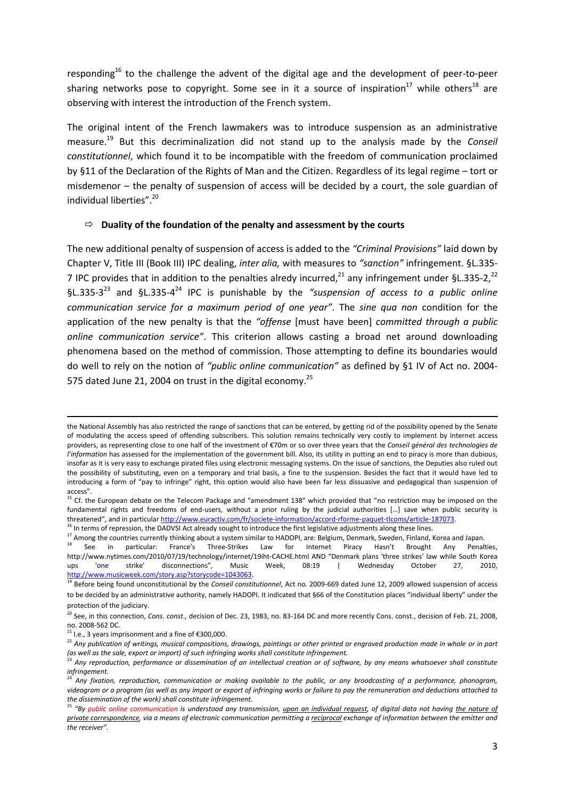responding<sup>16</sup> to the challenge the advent of the digital age and the development of peer-to-peer sharing networks pose to copyright. Some see in it a source of inspiration<sup>17</sup> while others<sup>18</sup> are observing with interest the introduction of the French system.

The original intent of the French lawmakers was to introduce suspension as an administrative measure.<sup>19</sup> But this decriminalization did not stand up to the analysis made by the *Conseil constitutionnel*, which found it to be incompatible with the freedom of communication proclaimed by §11 of the Declaration of the Rights of Man and the Citizen. Regardless of its legal regime – tort or misdemenor – the penalty of suspension of access will be decided by a court, the sole guardian of individual liberties".<sup>20</sup>

## **Duality of the foundation of the penalty and assessment by the courts**

The new additional penalty of suspension of access is added to the *"Criminal Provisions"* laid down by Chapter V, Title III (Book III) IPC dealing, *inter alia,* with measures to *"sanction"* infringement. §L.335- 7 IPC provides that in addition to the penalties alredy incurred,  $^{21}$  any infringement under §L.335-2,  $^{22}$ §L.335-3 <sup>23</sup> and §L.335-4 <sup>24</sup> IPC is punishable by the *"suspension of access to a public online communication service for a maximum period of one year".* The *sine qua non* condition for the application of the new penalty is that the *"offense* [must have been] *committed through a public online communication service"*. This criterion allows casting a broad net around downloading phenomena based on the method of commission. Those attempting to define its boundaries would do well to rely on the notion of *"public online communication"* as defined by §1 IV of Act no. 2004- 575 dated June 21, 2004 on trust in the digital economy.<sup>25</sup>

**.** 

the National Assembly has also restricted the range of sanctions that can be entered, by getting rid of the possibility opened by the Senate of modulating the access speed of offending subscribers. This solution remains technically very costly to implement by Internet access providers, as representing close to one half of the investment of €70m or so over three years that the *Conseil général des technologies de l'information* has assessed for the implementation of the government bill. Also, its utility in putting an end to piracy is more than dubious, insofar as it is very easy to exchange pirated files using electronic messaging systems. On the issue of sanctions, the Deputies also ruled out the possibility of substituting, even on a temporary and trial basis, a fine to the suspension. Besides the fact that it would have led to introducing a form of "pay to infringe" right, this option would also have been far less dissuasive and pedagogical than suspension of access".

<sup>15</sup> Cf. the European debate on the Telecom Package and "amendment 138" which provided that "no restriction may be imposed on the fundamental rights and freedoms of end-users, without a prior ruling by the judicial authorities [...] save when public security is threatened", and in particula[r http://www.euractiv.com/fr/societe-information/accord-rforme-paquet-tlcoms/article-187073.](http://www.euractiv.com/fr/societe-information/accord-rforme-paquet-tlcoms/article-187073) <sup>16</sup> In terms of repression, the DADVSI Act already sought to introduce the first legislative adjustments along these lines.

<sup>17</sup> Among the countries currently thinking about a system similar to HADOPI, are: Belgium, Denmark, Sweden, Finland, Korea and Japan.

<sup>18</sup> See in particular: France's Three-Strikes Law for Internet Piracy Hasn't Brought Any Penalties, http://www.nytimes.com/2010/07/19/technology/internet/19iht-CACHE.html AND "Denmark plans 'three strikes' law while South Korea<br>ups vone strike' disconnections". Music Week. 08:19 l Wednesdav October 27. 2010. ups 'one strike' disconnections", Music Week, 08:19 | Wednesday October 27, 2010, [http://www.musicweek.com/story.asp?storycode=1043063.](http://www.musicweek.com/story.asp?storycode=1043063)

<sup>19</sup> Before being found unconstitutional by the *Conseil constitutionnel*, Act no. 2009-669 dated June 12, 2009 allowed suspension of access to be decided by an administrative authority, namely HADOPI. It indicated that §66 of the Constitution places "individual liberty" under the protection of the judiciary.

<sup>20</sup> See, in this connection, *Cons. const*., decision of Dec. 23, 1983, no. 83-164 DC and more recently Cons. const., decision of Feb. 21, 2008, no. 2008-562 DC.

 $21$  I.e., 3 years imprisonment and a fine of €300,000.

<sup>&</sup>lt;sup>22</sup> Any publication of writings, musical compositions, drawings, paintings or other printed or engraved production made in whole or in part *(as well as the sale, export or import) of such infringing works shall constitute infringement.*

<sup>&</sup>lt;sup>3</sup> Any reproduction, performance or dissemination of an intellectual creation or of software, by any means whatsoever shall constitute *infringement.*

<sup>24</sup> *Any fixation, reproduction, communication or making available to the public, or any broadcasting of a performance, phonogram, videogram or a program (as well as any import or export of infringing works or failure to pay the remuneration and deductions attached to the dissemination of the work) shall constitute infringement.*

<sup>&</sup>lt;sup>25</sup> "By public online communication is understood any transmission, <u>upon an individual request</u>, of digital data not having <u>the nature of</u> *private correspondence, via a means of electronic communication permitting a reciprocal exchange of information between the emitter and the receiver".*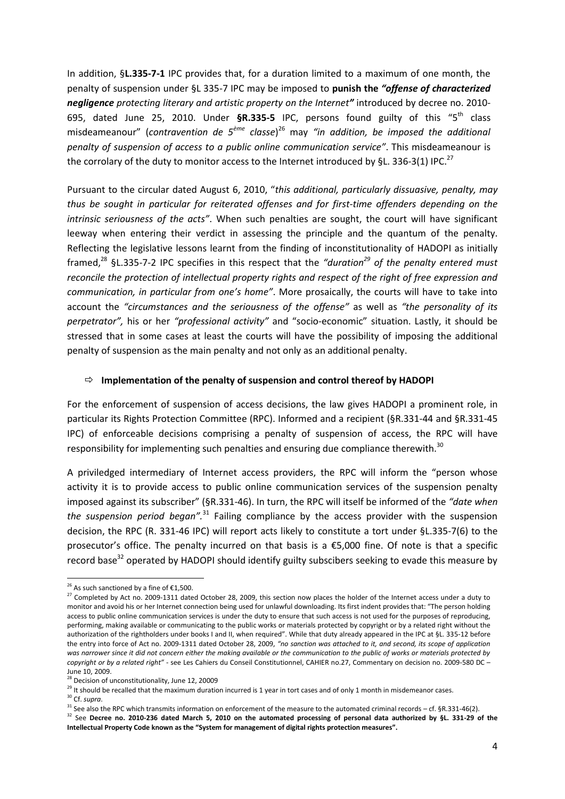In addition, §**L.335-7-1** IPC provides that, for a duration limited to a maximum of one month, the penalty of suspension under §L 335-7 IPC may be imposed to **punish the** *"offense of characterized negligence protecting literary and artistic property on the Internet"* introduced by decree no. 2010- 695, dated June 25, 2010. Under **§R.335-5** IPC, persons found guilty of this "5th class misdeameanour" (contravention de 5<sup>ème</sup> classe)<sup>26</sup> may "in addition, be imposed the additional *penalty of suspension of access to a public online communication service"*. This misdeameanour is the corrolary of the duty to monitor access to the Internet introduced by §L. 336-3(1) IPC.<sup>27</sup>

Pursuant to the circular dated August 6, 2010, "*this additional, particularly dissuasive, penalty, may thus be sought in particular for reiterated offenses and for first-time offenders depending on the intrinsic seriousness of the acts"*. When such penalties are sought, the court will have significant leeway when entering their verdict in assessing the principle and the quantum of the penalty. Reflecting the legislative lessons learnt from the finding of inconstitutionality of HADOPI as initially framed, <sup>28</sup> §L.335-7-2 IPC specifies in this respect that the *"duration<sup>29</sup> of the penalty entered must reconcile the protection of intellectual property rights and respect of the right of free expression and communication, in particular from one's home"*. More prosaically, the courts will have to take into account the *"circumstances and the seriousness of the offense"* as well as *"the personality of its perpetrator",* his or her *"professional activity"* and "socio-economic" situation. Lastly, it should be stressed that in some cases at least the courts will have the possibility of imposing the additional penalty of suspension as the main penalty and not only as an additional penalty.

#### **Implementation of the penalty of suspension and control thereof by HADOPI**

For the enforcement of suspension of access decisions, the law gives HADOPI a prominent role, in particular its Rights Protection Committee (RPC). Informed and a recipient (§R.331-44 and §R.331-45 IPC) of enforceable decisions comprising a penalty of suspension of access, the RPC will have responsibility for implementing such penalties and ensuring due compliance therewith.<sup>30</sup>

A priviledged intermediary of Internet access providers, the RPC will inform the "person whose activity it is to provide access to public online communication services of the suspension penalty imposed against its subscriber" (§R.331-46). In turn, the RPC will itself be informed of the *"date when the suspension period began".*<sup>31</sup> Failing compliance by the access provider with the suspension decision, the RPC (R. 331-46 IPC) will report acts likely to constitute a tort under §L.335-7(6) to the prosecutor's office. The penalty incurred on that basis is a €5,000 fine. Of note is that a specific record base<sup>32</sup> operated by HADOPI should identify guilty subscibers seeking to evade this measure by

<sup>30</sup> Cf. *supra*.

 $\overline{a}$ 

<sup>&</sup>lt;sup>26</sup> As such sanctioned by a fine of €1,500.

<sup>&</sup>lt;sup>27</sup> Completed by Act [no. 2009-1311 dated October 28, 2009, t](http://www.legifrance.gouv.fr/affichTexteArticle.do;jsessionid=1A07EE5ABFA023427826B588BD402F9B.tpdjo08v_3?cidTexte=JORFTEXT000021208046&idArticle=LEGIARTI000021209474&dateTexte=20091030)his section now places the holder of the Internet access under a duty to monitor and avoid his or her Internet connection being used for unlawful downloading. Its first indent provides that: "The person holding access to public online communication services is under the duty to ensure that such access is not used for the purposes of reproducing. performing, making available or communicating to the public works or materials protected by copyright or by a related right without the authorization of the rightholders under books I and II, when required". While that duty already appeared in the IPC at §L. 335-12 before the entry into force of Act no. [2009-1311 dated October 28, 2009,](http://www.legifrance.gouv.fr/affichTexteArticle.do;jsessionid=1A07EE5ABFA023427826B588BD402F9B.tpdjo08v_3?cidTexte=JORFTEXT000021208046&idArticle=LEGIARTI000021209474&dateTexte=20091030) *"no sanction was attached to it, and second, its scope of application was narrower since it did not concern either the making available or the communication to the public of works or materials protected by copyright or by a related right"* - see Les Cahiers du Conseil Constitutionnel, CAHIER no.27, Commentary on decision no. 2009-580 DC – June 10, 2009.

 $3$  Decision of unconstitutionality, June 12, 20009

<sup>&</sup>lt;sup>29</sup> It should be recalled that the maximum duration incurred is 1 year in tort cases and of only 1 month in misdemeanor cases.

<sup>&</sup>lt;sup>31</sup> See also the RPC which transmits information on enforcement of the measure to the automated criminal records – cf. §R.331-46(2).

<sup>&</sup>lt;sup>32</sup> See Decree no. 2010-236 dated March 5, 2010 on the automated processing of personal data authorized by §L. 331-29 of the **Intellectual Property Code known as the "System for management of digital rights protection measures".**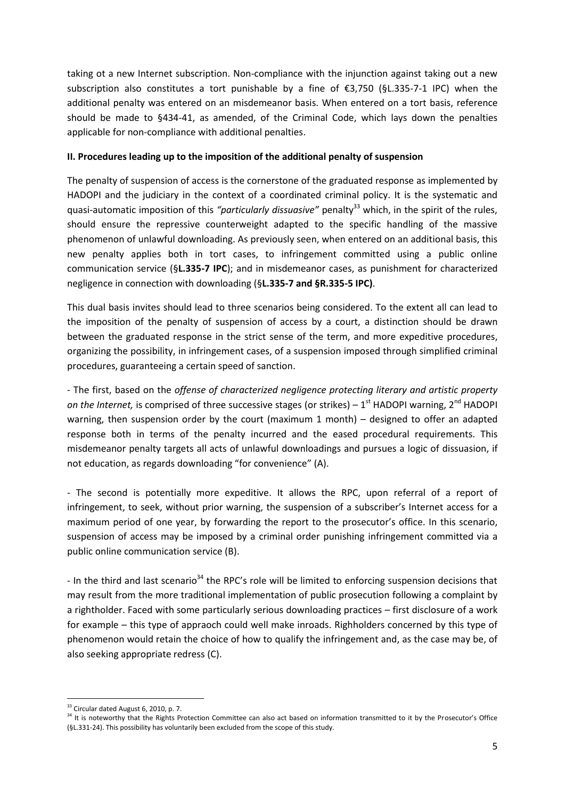taking ot a new Internet subscription. Non-compliance with the injunction against taking out a new subscription also constitutes a tort punishable by a fine of €3,750 (§L.335-7-1 IPC) when the additional penalty was entered on an misdemeanor basis. When entered on a tort basis, reference should be made to §434-41, as amended, of the Criminal Code, which lays down the penalties applicable for non-compliance with additional penalties.

# **II. Procedures leading up to the imposition of the additional penalty of suspension**

The penalty of suspension of access is the cornerstone of the graduated response as implemented by HADOPI and the judiciary in the context of a coordinated criminal policy. It is the systematic and quasi-automatic imposition of this *"particularly dissuasive"* penalty<sup>33</sup> which, in the spirit of the rules, should ensure the repressive counterweight adapted to the specific handling of the massive phenomenon of unlawful downloading. As previously seen, when entered on an additional basis, this new penalty applies both in tort cases, to infringement committed using a public online communication service (§**L.335-7 IPC**); and in misdemeanor cases, as punishment for characterized negligence in connection with downloading (§**L.335-7 and §R.335-5 IPC)**.

This dual basis invites should lead to three scenarios being considered. To the extent all can lead to the imposition of the penalty of suspension of access by a court, a distinction should be drawn between the graduated response in the strict sense of the term, and more expeditive procedures, organizing the possibility, in infringement cases, of a suspension imposed through simplified criminal procedures, guaranteeing a certain speed of sanction.

- The first, based on the *offense of characterized negligence protecting literary and artistic property*  on the Internet, is comprised of three successive stages (or strikes) – 1<sup>st</sup> HADOPI warning, 2<sup>nd</sup> HADOPI warning, then suspension order by the court (maximum 1 month) – designed to offer an adapted response both in terms of the penalty incurred and the eased procedural requirements. This misdemeanor penalty targets all acts of unlawful downloadings and pursues a logic of dissuasion, if not education, as regards downloading "for convenience" (A).

- The second is potentially more expeditive. It allows the RPC, upon referral of a report of infringement, to seek, without prior warning, the suspension of a subscriber's Internet access for a maximum period of one year, by forwarding the report to the prosecutor's office. In this scenario, suspension of access may be imposed by a criminal order punishing infringement committed via a public online communication service (B).

- In the third and last scenario<sup>34</sup> the RPC's role will be limited to enforcing suspension decisions that may result from the more traditional implementation of public prosecution following a complaint by a rightholder. Faced with some particularly serious downloading practices – first disclosure of a work for example – this type of appraoch could well make inroads. Righholders concerned by this type of phenomenon would retain the choice of how to qualify the infringement and, as the case may be, of also seeking appropriate redress (C).

<sup>&</sup>lt;sup>33</sup> Circular dated August 6, 2010, p. 7.

<sup>&</sup>lt;sup>34</sup> It is noteworthy that the Rights Protection Committee can also act based on information transmitted to it by the Prosecutor's Office (§L.331-24). This possibility has voluntarily been excluded from the scope of this study.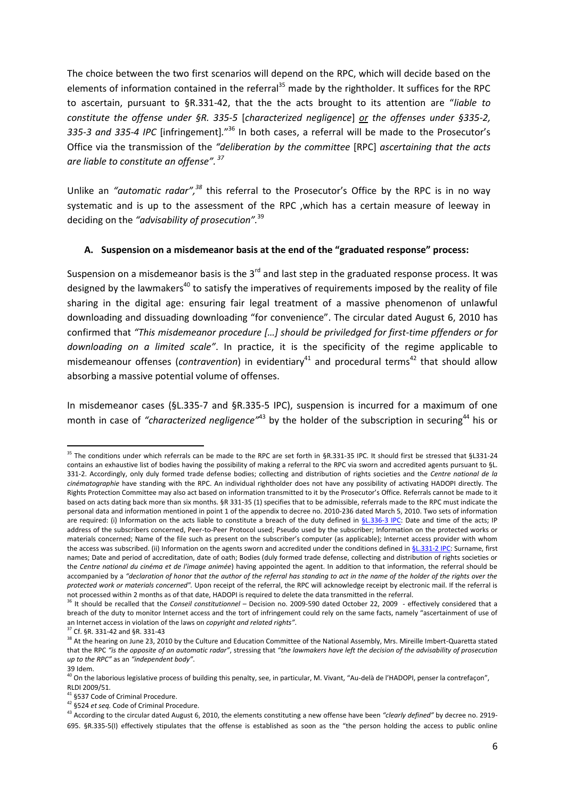The choice between the two first scenarios will depend on the RPC, which will decide based on the elements of information contained in the referral<sup>35</sup> made by the rightholder. It suffices for the RPC to ascertain, pursuant to §R.331-42, that the the acts brought to its attention are "*liable to constitute the offense under §R. 335-5* [*characterized negligence*] *or the offenses under §335-2,*  335-3 and 335-4 IPC [infringement].<sup>"36</sup> In both cases, a referral will be made to the Prosecutor's Office via the transmission of the *"deliberation by the committee* [RPC] *ascertaining that the acts are liable to constitute an offense". <sup>37</sup>*

Unlike an *"automatic radar",<sup>38</sup>* this referral to the Prosecutor's Office by the RPC is in no way systematic and is up to the assessment of the RPC ,which has a certain measure of leeway in deciding on the *"advisability of prosecution".*<sup>39</sup>

## **A. Suspension on a misdemeanor basis at the end of the "graduated response" process:**

Suspension on a misdemeanor basis is the  $3<sup>rd</sup>$  and last step in the graduated response process. It was designed by the lawmakers<sup>40</sup> to satisfy the imperatives of requirements imposed by the reality of file sharing in the digital age: ensuring fair legal treatment of a massive phenomenon of unlawful downloading and dissuading downloading "for convenience". The circular dated August 6, 2010 has confirmed that *"This misdemeanor procedure \*…+ should be priviledged for first-time pffenders or for downloading on a limited scale"*. In practice, it is the specificity of the regime applicable to misdemeanour offenses (*contravention*) in evidentiary<sup>41</sup> and procedural terms<sup>42</sup> that should allow absorbing a massive potential volume of offenses.

In misdemeanor cases (§L.335-7 and §R.335-5 IPC), suspension is incurred for a maximum of one month in case of "*characterized negligence*"<sup>43</sup> by the holder of the subscription in securing<sup>44</sup> his or

<sup>&</sup>lt;sup>35</sup> The conditions under which referrals can be made to the RPC are set forth in §R.331-35 IPC. It should first be stressed that §L331-24 contains an exhaustive list of bodies having the possibility of making a referral to the RPC via sworn and accredited agents pursuant to [§L.](http://www.legifrance.gouv.fr/affichCodeArticle.do?cidTexte=LEGITEXT000006069414&idArticle=LEGIARTI000006279130&dateTexte=&categorieLien=cid)  [331-2.](http://www.legifrance.gouv.fr/affichCodeArticle.do?cidTexte=LEGITEXT000006069414&idArticle=LEGIARTI000006279130&dateTexte=&categorieLien=cid) Accordingly, only duly formed trade defense bodies; collecting and distribution of rights societies and the *Centre national de la cinématographie* have standing with the RPC. An individual rightholder does not have any possibility of activating HADOPI directly. The Rights Protection Committee may also act based on information transmitted to it by the Prosecutor's Office. Referrals cannot be made to it based on acts dating back more than six months. §R 331-35 (1) specifies that to be admissible, referrals made to the RPC must indicate the personal data and information mentioned in point 1 of the appendix to decree no. 2010-236 dated March 5, 2010. Two sets of information are required: (i) Information on the acts liable to constitute a breach of the duty defined in  $\S$ L.336-3 IPC: Date and time of the acts; IP address of the subscribers concerned, Peer-to-Peer Protocol used; Pseudo used by the subscriber; Information on the protected works or materials concerned; Name of the file such as present on the subscriber's computer (as applicable); Internet access provider with whom the access was subscribed. (ii) Information on the agents sworn and accredited under the conditions defined i[n §L.331-2 IPC:](http://www.legifrance.gouv.fr/affichCodeArticle.do;jsessionid=6365A3942942E28813C3719FF79919E4.tpdjo08v_3?cidTexte=LEGITEXT000006069414&idArticle=LEGIARTI000006279130&dateTexte=&categorieLien=cid) Surname, first names; Date and period of accreditation, date of oath; Bodies (duly formed trade defense, collecting and distribution of rights societies or the *Centre national du cinéma et de l'image animée*) having appointed the agent. In addition to that information, the referral should be accompanied by a "declaration of honor that the author of the referral has standing to act in the name of the holder of the rights over the *protected work or materials concerned".* Upon receipt of the referral, the RPC will acknowledge receipt by electronic mail. If the referral is not processed within 2 months as of that date, HADOPI is required to delete the data transmitted in the referral.

<sup>36</sup> It should be recalled that the *Conseil constitutionnel* – Decision [no. 2009-590 dated October 22, 2009](http://www.conseil-constitutionnel.fr/decision.45986.html) - effectively considered that a breach of the duty to monitor Internet access and the tort of infringement could rely on the same facts, namely "ascertainment of use of an Internet access in violation of the laws on *copyright and related rights"*.

<sup>37</sup> Cf. §R. 331-42 and §R. 331-43

<sup>&</sup>lt;sup>38</sup> At the hearing on June 23, 2010 by the Culture and Education Committee of the National Assembly, Mrs. Mireille Imbert-Quaretta stated that the RPC *"is the opposite of an automatic radar"*, stressing that *"the lawmakers have left the decision of the advisability of prosecution up to the RPC"* as an *"independent body"*. 39 Idem.

<sup>&</sup>lt;sup>40</sup> On the laborious legislative process of building this penalty, see, in particular, M. Vivant, "Au-delà de l'HADOPI, penser la contrefaçon",

RLDI 2009/51.

<sup>&</sup>lt;sup>41</sup> §537 Code of Criminal Procedure.

<sup>42</sup> §524 *et seq.* Code of Criminal Procedure.

<sup>43</sup> According to the circular dated August 6, 2010, the elements constituting a new offense have been *"clearly defined"* by decree no. 2919- 695. §R.335-5(I) effectively stipulates that the offense is established as soon as the "the person holding the access to public online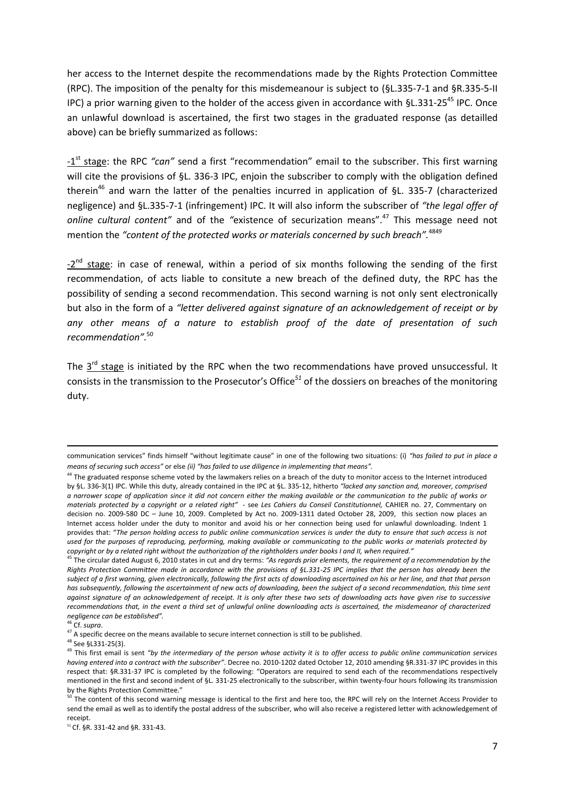her access to the Internet despite the recommendations made by the Rights Protection Committee (RPC). The imposition of the penalty for this misdemeanour is subject to (§L.335-7-1 and §R.335-5-II IPC) a prior warning given to the holder of the access given in accordance with  $$L.331-25<sup>45</sup>$  IPC. Once an unlawful download is ascertained, the first two stages in the graduated response (as detailled above) can be briefly summarized as follows:

-1<sup>st</sup> stage: the RPC "can" send a first "recommendation" email to the subscriber. This first warning will cite the provisions of §L. 336-3 IPC, enjoin the subscriber to comply with the obligation defined therein<sup>46</sup> and warn the latter of the penalties incurred in application of §L. 335-7 (characterized negligence) and §L.335-7-1 (infringement) IPC. It will also inform the subscriber of *"the legal offer of online cultural content"* and of the *"*existence of securization means".<sup>47</sup> This message need not mention the *"content of the protected works or materials concerned by such breach".*<sup>4849</sup>

-2<sup>nd</sup> stage: in case of renewal, within a period of six months following the sending of the first recommendation, of acts liable to consitute a new breach of the defined duty, the RPC has the possibility of sending a second recommendation. This second warning is not only sent electronically but also in the form of a *"letter delivered against signature of an acknowledgement of receipt or by any other means of a nature to establish proof of the date of presentation of such recommendation".*<sup>50</sup>

The  $3^{rd}$  stage is initiated by the RPC when the two recommendations have proved unsuccessful. It consists in the transmission to the Prosecutor's Office*<sup>51</sup>* of the dossiers on breaches of the monitoring duty.

communication services" finds himself "without legitimate cause" in one of the following two situations: (i) *"has failed to put in place a means of securing such access"* or else *(ii) "has failed to use diligence in implementing that means".*

<sup>&</sup>lt;sup>44</sup> The graduated response scheme voted by the lawmakers relies on a breach of the duty to monitor access to the Internet introduced by §L. 336-3(1) IPC. While this duty, already contained in the IPC at §L. 335-12, hitherto *"lacked any sanction and, moreover, comprised a narrower scope of application since it did not concern either the making available or the communication to the public of works or materials protected by a copyright or a related right"* - see *Les Cahiers du Conseil Constitutionnel,* CAHIER no. 27, Commentary on decision no. 2009-580 DC – June 10, 2009. Completed by Act no. 2009-1311 dated October 28, 2009, this section now places an Internet access holder under the duty to monitor and avoid his or her connection being used for unlawful downloading. Indent 1 provides that: "*The person holding access to public online communication services is under the duty to ensure that such access is not used for the purposes of reproducing, performing, making available or communicating to the public works or materials protected by copyright or by a related right without the authorization of the rightholders under books I and II, when required."*

<sup>45</sup> The circular dated August 6, 2010 states in cut and dry terms: *"As regards prior elements, the requirement of a recommendation by the Rights Protection Committee made in accordance with the provisions of §L.331-25 IPC implies that the person has already been the subject of a first warning, given electronically, following the first acts of downloading ascertained on his or her line, and that that person has subsequently, following the ascertainment of new acts of downloading, been the subject of a second recommendation, this time sent against signature of an acknowledgement of receipt. It is only after these two sets of downloading acts have given rise to successive recommendations that, in the event a third set of unlawful online downloading acts is ascertained, the misdemeanor of characterized negligence can be established".*

<sup>46</sup> Cf. *supra*.

<sup>47</sup> A specific decree on the means available to secure internet connection is still to be published.

<sup>48</sup> See §L331-25(3).

<sup>49</sup> This first email is sent *"by the intermediary of the person whose activity it is to offer access to public online communication services having entered into a contract with the subscriber"*. Decree no. 2010-1202 dated October 12, 2010 amending §R.331-37 IPC provides in this respect that: §R.331-37 IPC is completed by the following: "Operators are required to send each of the recommendations respectively mentioned in the first and second indent of §L. 331-25 electronically to the subscriber, within twenty-four hours following its transmission by the Rights Protection Committee."

The content of this second warning message is identical to the first and here too, the RPC will rely on the Internet Access Provider to send the email as well as to identify the postal address of the subscriber, who will also receive a registered letter with acknowledgement of receipt.

<sup>51</sup> Cf. §R. 331-42 and §R. 331-43.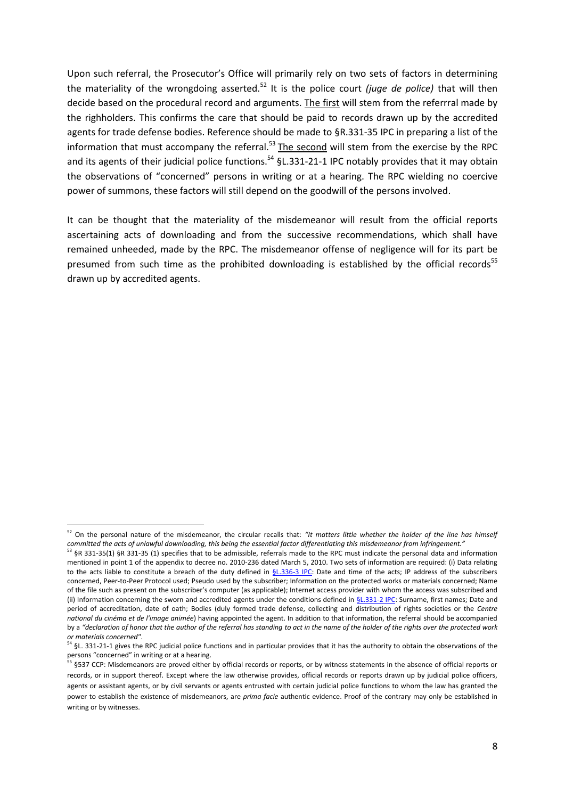Upon such referral, the Prosecutor's Office will primarily rely on two sets of factors in determining the materiality of the wrongdoing asserted.<sup>52</sup> It is the police court *(juge de police)* that will then decide based on the procedural record and arguments. The first will stem from the referrral made by the righholders. This confirms the care that should be paid to records drawn up by the accredited agents for trade defense bodies. Reference should be made to §R.331-35 IPC in preparing a list of the information that must accompany the referral.<sup>53</sup> The second will stem from the exercise by the RPC and its agents of their judicial police functions.<sup>54</sup> §L.331-21-1 IPC notably provides that it may obtain the observations of "concerned" persons in writing or at a hearing. The RPC wielding no coercive power of summons, these factors will still depend on the goodwill of the persons involved.

It can be thought that the materiality of the misdemeanor will result from the official reports ascertaining acts of downloading and from the successive recommendations, which shall have remained unheeded, made by the RPC. The misdemeanor offense of negligence will for its part be presumed from such time as the prohibited downloading is established by the official records<sup>55</sup> drawn up by accredited agents.

<sup>52</sup> On the personal nature of the misdemeanor, the circular recalls that: *"It matters little whether the holder of the line has himself*  committed the acts of unlawful downloading, this being the essential factor differentiating this misdemeanor from infringement."

<sup>53</sup> §R 331-35(1) §R 331-35 (1) specifies that to be admissible, referrals made to the RPC must indicate the personal data and information mentioned in point 1 of the appendix to decree no. 2010-236 dated March 5, 2010. Two sets of information are required: (i) Data relating to the acts liable to constitute a breach of the duty defined in [§L.336-3 IPC:](http://www.legifrance.gouv.fr/affichCodeArticle.do;jsessionid=6365A3942942E28813C3719FF79919E4.tpdjo08v_3?cidTexte=LEGITEXT000006069414&idArticle=LEGIARTI000020738731&dateTexte=&categorieLien=cid) Date and time of the acts; IP address of the subscribers concerned, Peer-to-Peer Protocol used; Pseudo used by the subscriber; Information on the protected works or materials concerned; Name of the file such as present on the subscriber's computer (as applicable); Internet access provider with whom the access was subscribed and (ii) Information concerning the sworn and accredited agents under the conditions defined in [§L.331-2 IPC:](http://www.legifrance.gouv.fr/affichCodeArticle.do;jsessionid=6365A3942942E28813C3719FF79919E4.tpdjo08v_3?cidTexte=LEGITEXT000006069414&idArticle=LEGIARTI000006279130&dateTexte=&categorieLien=cid) Surname, first names; Date and period of accreditation, date of oath; Bodies (duly formed trade defense, collecting and distribution of rights societies or the *Centre national du cinéma et de l'image animée*) having appointed the agent. In addition to that information, the referral should be accompanied by a "declaration of honor that the author of the referral has standing to act in the name of the holder of the rights over the protected work *or materials concerned"*.

<sup>54 §</sup>L. 331-21-1 gives the RPC judicial police functions and in particular provides that it has the authority to obtain the observations of the persons "concerned" in writing or at a hearing.

<sup>&</sup>lt;sup>55</sup> §537 CCP: Misdemeanors are proved either by official records or reports, or by witness statements in the absence of official reports or records, or in support thereof. Except where the law otherwise provides, official records or reports drawn up by judicial police officers, agents or assistant agents, or by civil servants or agents entrusted with certain judicial police functions to whom the law has granted the power to establish the existence of misdemeanors, are *prima facie* authentic evidence. Proof of the contrary may only be established in writing or by witnesses.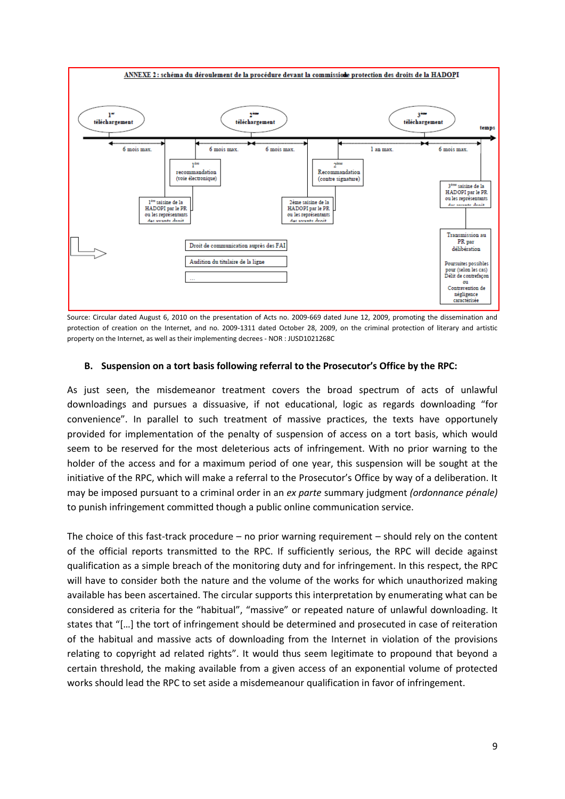

Source: Circular dated August 6, 2010 on the presentation of Acts no. 2009-669 dated June 12, 2009, promoting the dissemination and protection of creation on the Internet, and no. 2009-1311 dated October 28, 2009, on the criminal protection of literary and artistic property on the Internet, as well as their implementing decrees - NOR : JUSD1021268C

#### **B. Suspension on a tort basis following referral to the Prosecutor's Office by the RPC:**

As just seen, the misdemeanor treatment covers the broad spectrum of acts of unlawful downloadings and pursues a dissuasive, if not educational, logic as regards downloading "for convenience". In parallel to such treatment of massive practices, the texts have opportunely provided for implementation of the penalty of suspension of access on a tort basis, which would seem to be reserved for the most deleterious acts of infringement. With no prior warning to the holder of the access and for a maximum period of one year, this suspension will be sought at the initiative of the RPC, which will make a referral to the Prosecutor's Office by way of a deliberation. It may be imposed pursuant to a criminal order in an *ex parte* summary judgment *(ordonnance pénale)*  to punish infringement committed though a public online communication service.

The choice of this fast-track procedure – no prior warning requirement – should rely on the content of the official reports transmitted to the RPC. If sufficiently serious, the RPC will decide against qualification as a simple breach of the monitoring duty and for infringement. In this respect, the RPC will have to consider both the nature and the volume of the works for which unauthorized making available has been ascertained. The circular supports this interpretation by enumerating what can be considered as criteria for the "habitual", "massive" or repeated nature of unlawful downloading. It states that "[...] the tort of infringement should be determined and prosecuted in case of reiteration of the habitual and massive acts of downloading from the Internet in violation of the provisions relating to copyright ad related rights". It would thus seem legitimate to propound that beyond a certain threshold, the making available from a given access of an exponential volume of protected works should lead the RPC to set aside a misdemeanour qualification in favor of infringement.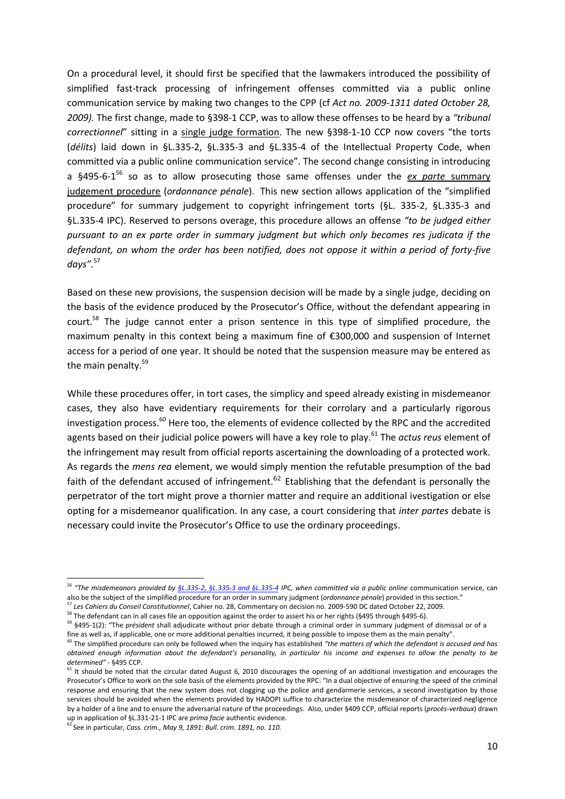On a procedural level, it should first be specified that the lawmakers introduced the possibility of simplified fast-track processing of infringement offenses committed via a public online communication service by making two changes to the CPP (cf *Act no. 2009-1311 dated October 28, 2009).* The first change, made to §398-1 CCP, was to allow these offenses to be heard by a *"tribunal correctionnel*" sitting in a single judge formation. The new §398-1-10 CCP now covers "the torts (*délits*) laid down in §L.335-2, §L.335-3 and §L.335-4 of the Intellectual Property Code, when committed via a public online communication service". The second change consisting in introducing a §495-6-1<sup>56</sup> so as to allow prosecuting those same offenses under the *ex parte* summary judgement procedure (*ordonnance pénale*). This new section allows application of the "simplified procedure" for summary judgement to copyright infringement torts (§L. 335-2, §L.335-3 and §L.335-4 IPC). Reserved to persons overage, this procedure allows an offense *"to be judged either pursuant to an ex parte order in summary judgment but which only becomes res judicata if the defendant, on whom the order has been notified, does not oppose it within a period of forty-five days".*<sup>57</sup>

Based on these new provisions, the suspension decision will be made by a single judge, deciding on the basis of the evidence produced by the Prosecutor's Office, without the defendant appearing in court.<sup>58</sup> The judge cannot enter a prison sentence in this type of simplified procedure, the maximum penalty in this context being a maximum fine of €300,000 and suspension of Internet access for a period of one year. It should be noted that the suspension measure may be entered as the main penalty.<sup>59</sup>

While these procedures offer, in tort cases, the simplicy and speed already existing in misdemeanor cases, they also have evidentiary requirements for their corrolary and a particularly rigorous investigation process. $^{60}$  Here too, the elements of evidence collected by the RPC and the accredited agents based on their judicial police powers will have a key role to play.<sup>61</sup> The *actus reus* element of the infringement may result from official reports ascertaining the downloading of a protected work. As regards the *mens rea* element, we would simply mention the refutable presumption of the bad faith of the defendant accused of infringement.<sup>62</sup> Etablishing that the defendant is personally the perpetrator of the tort might prove a thornier matter and require an additional ivestigation or else opting for a misdemeanor qualification. In any case, a court considering that *inter partes* debate is necessary could invite the Prosecutor's Office to use the ordinary proceedings.

 $\overline{a}$ 

<sup>56</sup> *"The misdemeanors provided by [§L.335-2, §L.335-3 and §L.335-4](http://www.legifrance.gouv.fr/affichCodeArticle.do?cidTexte=LEGITEXT000006069414&idArticle=LEGIARTI000006279167&dateTexte=&categorieLien=cid) IPC, when committed via a public online* communication service, can also be the subject of the simplified procedure for an order in summary judgment (*ordonnance pénale*) provided in this section."

<sup>57</sup> *Les Cahiers du Conseil Constitutionnel*, Cahier no. 28, Commentary on decision no. 2009-590 DC dated October 22, 2009.

<sup>&</sup>lt;sup>58</sup> The defendant can in all cases file an opposition against the order to assert his or her rights (§495 through §495-6).

<sup>59</sup> §495-1(2): "The *président* shall adjudicate without prior debate through a criminal order in summary judgment of dismissal or of a fine as well as, if applicable, one or more additional penalties incurred, it being possible to impose them as the main penalty".

<sup>60</sup> The simplified procedure can only be followed when the inquiry has established *"the matters of which the defendant is accused and has obtained enough information about the defendant's personality, in particular his income and expenses to allow the penalty to be determined"* - §495 CCP.

 $61$  It should be noted that the circular dated August 6, 2010 discourages the opening of an additional investigation and encourages the Prosecutor's Office to work on the sole basis of the elements provided by the RPC: "In a dual objective of ensuring the speed of the criminal response and ensuring that the new system does not clogging up the police and gendarmerie services, a second investigation by those services should be avoided when the elements provided by HADOPI suffice to characterize the misdemeanor of characterized negligence by a holder of a line and to ensure the adversarial nature of the proceedings. Also, under §409 CCP, official reports (*procès-verbaux*) drawn up in application of §L.331-21-1 IPC are *prima facie* authentic evidence.

<sup>62</sup> See in particular, *Cass. crim., May 9, 1891: Bull. crim. 1891, no. 110.*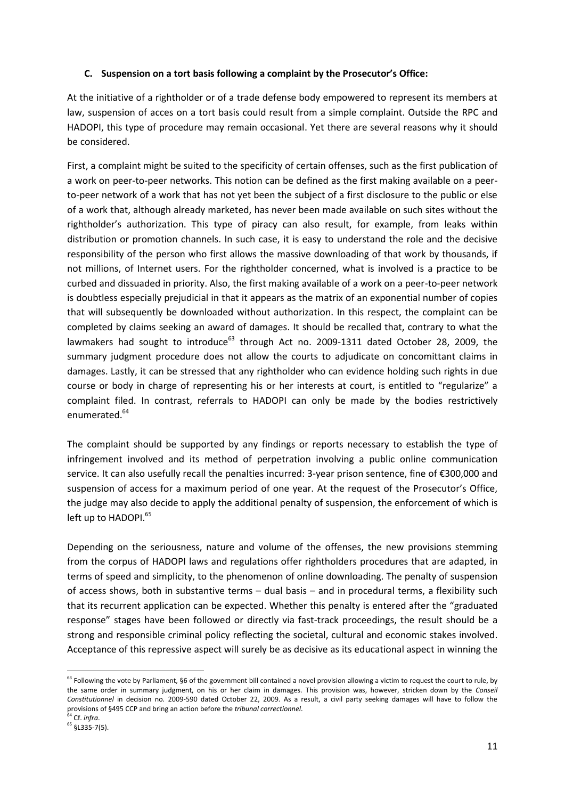# **C. Suspension on a tort basis following a complaint by the Prosecutor's Office:**

At the initiative of a rightholder or of a trade defense body empowered to represent its members at law, suspension of acces on a tort basis could result from a simple complaint. Outside the RPC and HADOPI, this type of procedure may remain occasional. Yet there are several reasons why it should be considered.

First, a complaint might be suited to the specificity of certain offenses, such as the first publication of a work on peer-to-peer networks. This notion can be defined as the first making available on a peerto-peer network of a work that has not yet been the subject of a first disclosure to the public or else of a work that, although already marketed, has never been made available on such sites without the rightholder's authorization. This type of piracy can also result, for example, from leaks within distribution or promotion channels. In such case, it is easy to understand the role and the decisive responsibility of the person who first allows the massive downloading of that work by thousands, if not millions, of Internet users. For the rightholder concerned, what is involved is a practice to be curbed and dissuaded in priority. Also, the first making available of a work on a peer-to-peer network is doubtless especially prejudicial in that it appears as the matrix of an exponential number of copies that will subsequently be downloaded without authorization. In this respect, the complaint can be completed by claims seeking an award of damages. It should be recalled that, contrary to what the lawmakers had sought to introduce $^{63}$  through Act no. 2009-1311 dated October 28, 2009, the summary judgment procedure does not allow the courts to adjudicate on concomittant claims in damages. Lastly, it can be stressed that any rightholder who can evidence holding such rights in due course or body in charge of representing his or her interests at court, is entitled to "regularize" a complaint filed. In contrast, referrals to HADOPI can only be made by the bodies restrictively enumerated.<sup>64</sup>

The complaint should be supported by any findings or reports necessary to establish the type of infringement involved and its method of perpetration involving a public online communication service. It can also usefully recall the penalties incurred: 3-year prison sentence, fine of €300,000 and suspension of access for a maximum period of one year. At the request of the Prosecutor's Office, the judge may also decide to apply the additional penalty of suspension, the enforcement of which is left up to HADOPI.<sup>65</sup>

Depending on the seriousness, nature and volume of the offenses, the new provisions stemming from the corpus of HADOPI laws and regulations offer rightholders procedures that are adapted, in terms of speed and simplicity, to the phenomenon of online downloading. The penalty of suspension of access shows, both in substantive terms – dual basis – and in procedural terms, a flexibility such that its recurrent application can be expected. Whether this penalty is entered after the "graduated response" stages have been followed or directly via fast-track proceedings, the result should be a strong and responsible criminal policy reflecting the societal, cultural and economic stakes involved. Acceptance of this repressive aspect will surely be as decisive as its educational aspect in winning the

**.** 

<sup>&</sup>lt;sup>63</sup> Following the vote by Parliament, §6 of the government bill contained a novel provision allowing a victim to request the court to rule, by the same order in summary judgment, on his or her claim in damages. This provision was, however, stricken down by the *Conseil Constitutionnel* in decision no. 2009-590 dated October 22, 2009. As a result, a civil party seeking damages will have to follow the provisions of §495 CCP and bring an action before the *tribunal correctionnel*.

<sup>64</sup> Cf. *infra*.